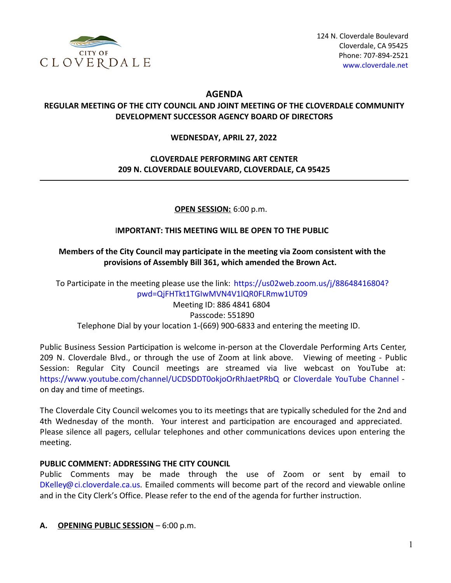

# **AGENDA**

#### **REGULAR MEETING OF THE CITY COUNCIL AND JOINT MEETING OF THE CLOVERDALE COMMUNITY DEVELOPMENT SUCCESSOR AGENCY BOARD OF DIRECTORS**

#### **WEDNESDAY, APRIL 27, 2022**

# **CLOVERDALE PERFORMING ART CENTER 209 N. CLOVERDALE BOULEVARD, CLOVERDALE, CA 95425**

#### **OPEN SESSION:** 6:00 p.m.

#### I**MPORTANT: THIS MEETING WILL BE OPEN TO THE PUBLIC**

#### **Members of the City Council may participate in the meeting via Zoom consistent with the provisions of Assembly Bill 361, which amended the Brown Act.**

To Participate in the meeting please use the link: https://us02web.zoom.us/j/88648416804? [pwd=QjFHTkt1TGIwMVN4V1lQR0FLRmw1UT09](https://us02web.zoom.us/j/88648416804?pwd=QjFHTkt1TGIwMVN4V1lQR0FLRmw1UT09)

Meeting ID: 886 4841 6804 Passcode: 551890 Telephone Dial by your location 1-(669) 900-6833 and entering the meeting ID.

Public Business Session Participation is welcome in-person at the Cloverdale Performing Arts Center, 209 N. Cloverdale Blvd., or through the use of Zoom at link above. Viewing of meeting - Public Session: Regular City Council meetings are streamed via live webcast on YouTube at: <https://www.youtube.com/channel/UCDSDDT0okjoOrRhJaetPRbQ> or [Cloverdale](file:///tmp/Cloverdale%20YouTube%20Channel) YouTube Channel on day and time of meetings.

The Cloverdale City Council welcomes you to its meetings that are typically scheduled for the 2nd and 4th Wednesday of the month. Your interest and participation are encouraged and appreciated. Please silence all pagers, cellular telephones and other communications devices upon entering the meeting.

#### **PUBLIC COMMENT: ADDRESSING THE CITY COUNCIL**

Public Comments may be made through the use of Zoom or sent by email to [DKelley@ci.cloverdale.ca.us](file:///tmp/DKelley@ci.cloverdale.ca.us). Emailed comments will become part of the record and viewable online and in the City Clerk's Office. Please refer to the end of the agenda for further instruction.

#### **A. OPENING PUBLIC SESSION** – 6:00 p.m.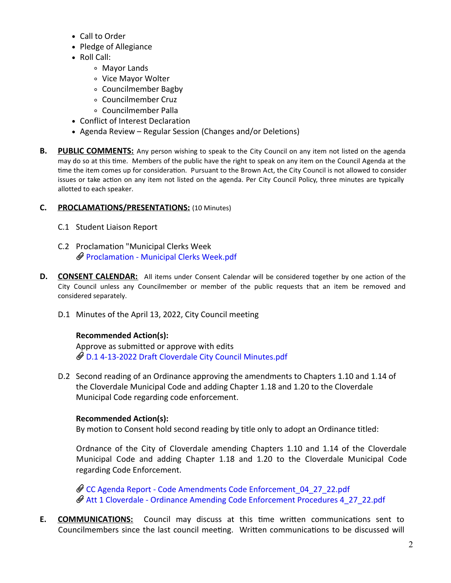- Call to Order
- Pledge of Allegiance
- Roll Call:
	- Mayor Lands
	- Vice Mayor Wolter
	- Councilmember Bagby
	- Councilmember Cruz
	- Councilmember Palla
- Conflict of Interest Declaration
- Agenda Review Regular Session (Changes and/or Deletions)
- **B. PUBLIC COMMENTS:** Any person wishing to speak to the City Council on any item not listed on the agenda may do so at this time. Members of the public have the right to speak on any item on the Council Agenda at the time the item comes up for consideration. Pursuant to the Brown Act, the City Council is not allowed to consider issues or take action on any item not listed on the agenda. Per City Council Policy, three minutes are typically allotted to each speaker.

# **C. PROCLAMATIONS/PRESENTATIONS:** (10 Minutes)

- C.1 Student Liaison Report
- C.2 Proclamation "Municipal Clerks Week [Proclamation](https://legistarweb-production.s3.amazonaws.com/uploads/attachment/pdf/1341469/Proclamation_-_Municipal_Clerks_Week.pdf) - Municipal Clerks Week.pdf
- **D. CONSENT CALENDAR:** All items under Consent Calendar will be considered together by one action of the City Council unless any Councilmember or member of the public requests that an item be removed and considered separately.
	- D.1 Minutes of the April 13, 2022, City Council meeting

# **Recommended Action(s):**

Approve as submitted or approve with edits D.1 4-13-2022 Draft Cloverdale City Council [Minutes.pdf](https://legistarweb-production.s3.amazonaws.com/uploads/attachment/pdf/1343734/D.1_4-13-2022_Draft_Cloverdale_City_Council_Minutes.pdf)

D.2 Second reading of an Ordinance approving the amendments to Chapters 1.10 and 1.14 of the Cloverdale Municipal Code and adding Chapter 1.18 and 1.20 to the Cloverdale Municipal Code regarding code enforcement.

# **Recommended Action(s):**

By motion to Consent hold second reading by title only to adopt an Ordinance titled:

Ordnance of the City of Cloverdale amending Chapters 1.10 and 1.14 of the Cloverdale Municipal Code and adding Chapter 1.18 and 1.20 to the Cloverdale Municipal Code regarding Code Enforcement.

CC Agenda Report - Code Amendments Code [Enforcement\\_04\\_27\\_22.pdf](https://legistarweb-production.s3.amazonaws.com/uploads/attachment/pdf/1341193/CC_Agenda_Report_-_Code_Amendments_Code_Enforcement_04_27_22.pdf) Att 1 Cloverdale - Ordinance Amending Code [Enforcement](https://legistarweb-production.s3.amazonaws.com/uploads/attachment/pdf/1341194/Att_1_Cloverdale_-_Ordinance_Amending_Code_Enforcement_Procedures_4_27_22.pdf) Procedures 4\_27\_22.pdf

**E. COMMUNICATIONS:** Council may discuss at this time written communications sent to Councilmembers since the last council meeting. Written communications to be discussed will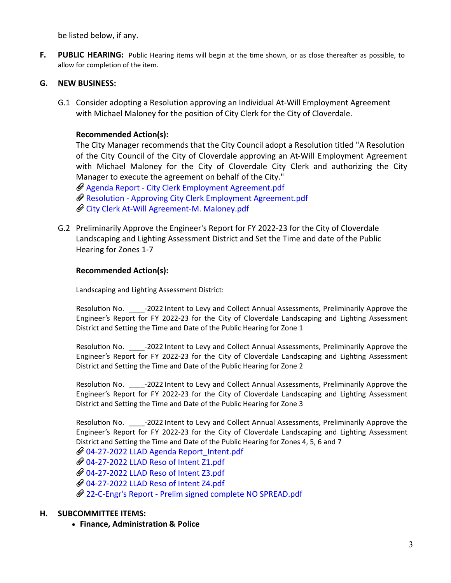be listed below, if any.

**F. PUBLIC HEARING:** Public Hearing items will begin at the time shown, or as close thereafter as possible, to allow for completion of the item.

# **G. NEW BUSINESS:**

G.1 Consider adopting a Resolution approving an Individual At-Will Employment Agreement with Michael Maloney for the position of City Clerk for the City of Cloverdale.

# **Recommended Action(s):**

The City Manager recommends that the City Council adopt a Resolution titled "A Resolution of the City Council of the City of Cloverdale approving an At-Will Employment Agreement with Michael Maloney for the City of Cloverdale City Clerk and authorizing the City Manager to execute the agreement on behalf of the City."

 $\mathscr Q$  Agenda Report - City Clerk Employment [Agreement.pdf](https://legistarweb-production.s3.amazonaws.com/uploads/attachment/pdf/1342103/Agenda_Report_-_City_Clerk_Employment_Agreement.pdf) Resolution - Approving City Clerk Employment [Agreement.pdf](https://legistarweb-production.s3.amazonaws.com/uploads/attachment/pdf/1342104/Resolution_-_Approving_City_Clerk_Employment_Agreement.pdf) City Clerk At-Will [Agreement-M.](https://legistarweb-production.s3.amazonaws.com/uploads/attachment/pdf/1342105/City_Clerk_At-Will_Agreement-M._Maloney.pdf) Maloney.pdf

G.2 Preliminarily Approve the Engineer's Report for FY 2022-23 for the City of Cloverdale Landscaping and Lighting Assessment District and Set the Time and date of the Public Hearing for Zones 1-7

# **Recommended Action(s):**

Landscaping and Lighting Assessment District:

Resolution No.  $\qquad -2022$  Intent to Levy and Collect Annual Assessments, Preliminarily Approve the Engineer's Report for FY 2022-23 for the City of Cloverdale Landscaping and Lighting Assessment District and Setting the Time and Date of the Public Hearing for Zone 1

Resolution No. \_\_\_\_\_-2022 Intent to Levy and Collect Annual Assessments, Preliminarily Approve the Engineer's Report for FY 2022-23 for the City of Cloverdale Landscaping and Lighting Assessment District and Setting the Time and Date of the Public Hearing for Zone 2

Resolution No. \_\_\_\_\_-2022 Intent to Levy and Collect Annual Assessments, Preliminarily Approve the Engineer's Report for FY 2022-23 for the City of Cloverdale Landscaping and Lighting Assessment District and Setting the Time and Date of the Public Hearing for Zone 3

Resolution No. <sup>2022</sup> Intent to Levy and Collect Annual Assessments, Preliminarily Approve the Engineer's Report for FY 2022-23 for the City of Cloverdale Landscaping and Lighting Assessment District and Setting the Time and Date of the Public Hearing for Zones 4, 5, 6 and 7

04-27-2022 LLAD Agenda [Report\\_Intent.pdf](https://legistarweb-production.s3.amazonaws.com/uploads/attachment/pdf/1341692/04-27-2022_LLAD_Agenda_Report_Intent.pdf) [04-27-2022](https://legistarweb-production.s3.amazonaws.com/uploads/attachment/pdf/1341693/04-27-2022_LLAD_Reso_of_Intent_Z1.pdf) LLAD Reso of Intent Z1.pdf

[04-27-2022](https://legistarweb-production.s3.amazonaws.com/uploads/attachment/pdf/1341695/04-27-2022_LLAD_Reso_of_Intent_Z3.pdf) LLAD Reso of Intent Z3.pdf

[04-27-2022](https://legistarweb-production.s3.amazonaws.com/uploads/attachment/pdf/1344573/04-27-2022_LLAD_Reso_of_Intent_Z4.pdf) LLAD Reso of Intent Z4.pdf

22-C-Engr's Report - Prelim signed complete NO [SPREAD.pdf](https://legistarweb-production.s3.amazonaws.com/uploads/attachment/pdf/1341939/22-C-Engr_s_Report_-_Prelim_signed_complete_NO_SPREAD.pdf)

# **H. SUBCOMMITTEE ITEMS:**

**Finance, Administration & Police**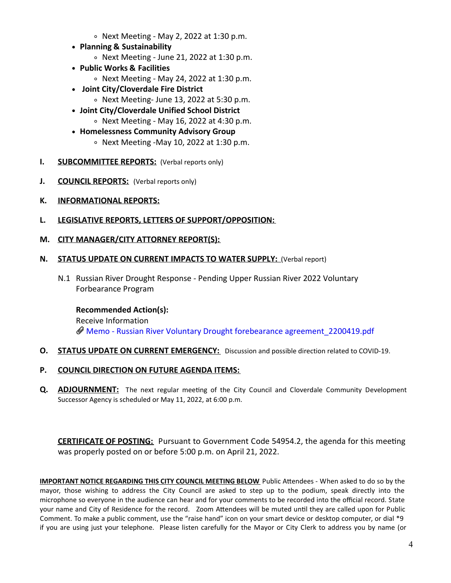- $\circ$  Next Meeting May 2, 2022 at 1:30 p.m.
- **Planning & Sustainability**
	- $\circ$  Next Meeting June 21, 2022 at 1:30 p.m.
- **Public Works & Facilities**
	- $\circ$  Next Meeting May 24, 2022 at 1:30 p.m.
- **Joint City/Cloverdale Fire District**
	- $\circ$  Next Meeting-June 13, 2022 at 5:30 p.m.
- **Joint City/Cloverdale Unified School District**  $\circ$  Next Meeting - May 16, 2022 at 4:30 p.m.
- **Homelessness Community Advisory Group**
	- $\circ$  Next Meeting -May 10, 2022 at 1:30 p.m.
- **I. SUBCOMMITTEE REPORTS:** (Verbal reports only)
- **J. COUNCIL REPORTS:** (Verbal reports only)
- **K. INFORMATIONAL REPORTS:**
- **L. LEGISLATIVE REPORTS, LETTERS OF SUPPORT/OPPOSITION:**
- **M. CITY MANAGER/CITY ATTORNEY REPORT(S):**

#### **N. STATUS UPDATE ON CURRENT IMPACTS TO WATER SUPPLY:** (Verbal report)

N.1 Russian River Drought Response - Pending Upper Russian River 2022 Voluntary Forbearance Program

#### **Recommended Action(s):**

Receive Information Memo - Russian River Voluntary Drought forebearance [agreement\\_2200419.pdf](https://legistarweb-production.s3.amazonaws.com/uploads/attachment/pdf/1344061/Memo_-_Russian_River_Voluntary_Drought_forebearance_agreement_2200419.pdf)

**O. STATUS UPDATE ON CURRENT EMERGENCY:** Discussion and possible direction related to COVID-19.

# **P. COUNCIL DIRECTION ON FUTURE AGENDA ITEMS:**

**Q. ADJOURNMENT:** The next regular meeting of the City Council and Cloverdale Community Development Successor Agency is scheduled or May 11, 2022, at 6:00 p.m.

**CERTIFICATE OF POSTING:** Pursuant to Government Code 54954.2, the agenda for this meeting was properly posted on or before 5:00 p.m. on April 21, 2022.

**IMPORTANT NOTICE REGARDING THIS CITY COUNCIL MEETING BELOW Public Attendees - When asked to do so by the** mayor, those wishing to address the City Council are asked to step up to the podium, speak directly into the microphone so everyone in the audience can hear and for your comments to be recorded into the official record. State your name and City of Residence for the record. Zoom Attendees will be muted until they are called upon for Public Comment. To make a public comment, use the "raise hand" icon on your smart device or desktop computer, or dial \*9 if you are using just your telephone. Please listen carefully for the Mayor or City Clerk to address you by name (or